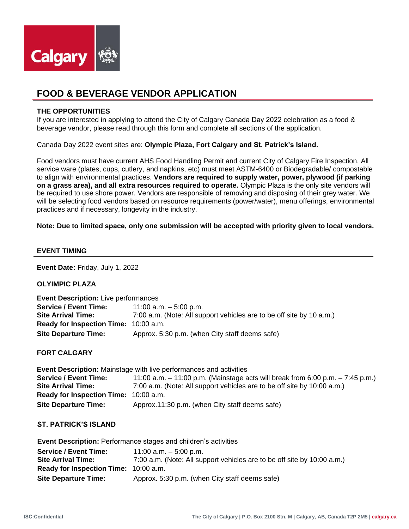

# **FOOD & BEVERAGE VENDOR APPLICATION**

#### **THE OPPORTUNITIES**

If you are interested in applying to attend the City of Calgary Canada Day 2022 celebration as a food & beverage vendor, please read through this form and complete all sections of the application.

Canada Day 2022 event sites are: **Olympic Plaza, Fort Calgary and St. Patrick's Island.**

Food vendors must have current AHS Food Handling Permit and current City of Calgary Fire Inspection. All service ware (plates, cups, cutlery, and napkins, etc) must meet ASTM-6400 or Biodegradable/ compostable to align with environmental practices. **Vendors are required to supply water, power, plywood (if parking on a grass area), and all extra resources required to operate.** Olympic Plaza is the only site vendors will be required to use shore power. Vendors are responsible of removing and disposing of their grey water. We will be selecting food vendors based on resource requirements (power/water), menu offerings, environmental practices and if necessary, longevity in the industry.

**Note: Due to limited space, only one submission will be accepted with priority given to local vendors.**

#### **EVENT TIMING**

**Event Date:** Friday, July 1, 2022

**OLYIMPIC PLAZA**

| <b>Event Description:</b> Live performances  |                                                                      |  |  |  |  |  |
|----------------------------------------------|----------------------------------------------------------------------|--|--|--|--|--|
| <b>Service / Event Time:</b>                 | 11:00 a.m. $-$ 5:00 p.m.                                             |  |  |  |  |  |
| <b>Site Arrival Time:</b>                    | 7:00 a.m. (Note: All support vehicles are to be off site by 10 a.m.) |  |  |  |  |  |
| <b>Ready for Inspection Time: 10:00 a.m.</b> |                                                                      |  |  |  |  |  |
| <b>Site Departure Time:</b>                  | Approx. 5:30 p.m. (when City staff deems safe)                       |  |  |  |  |  |

**FORT CALGARY** 

| <b>Event Description:</b> Mainstage with live performances and activities |                                                                                    |  |  |  |  |
|---------------------------------------------------------------------------|------------------------------------------------------------------------------------|--|--|--|--|
| <b>Service / Event Time:</b>                                              | 11:00 a.m. $-$ 11:00 p.m. (Mainstage acts will break from 6:00 p.m. $-$ 7:45 p.m.) |  |  |  |  |
| <b>Site Arrival Time:</b>                                                 | 7:00 a.m. (Note: All support vehicles are to be off site by 10:00 a.m.)            |  |  |  |  |
| <b>Ready for Inspection Time: 10:00 a.m.</b>                              |                                                                                    |  |  |  |  |
| <b>Site Departure Time:</b>                                               | Approx.11:30 p.m. (when City staff deems safe)                                     |  |  |  |  |

#### **ST. PATRICK'S ISLAND**

| <b>Event Description: Performance stages and children's activities</b> |                                                                         |  |  |  |  |  |
|------------------------------------------------------------------------|-------------------------------------------------------------------------|--|--|--|--|--|
| <b>Service / Event Time:</b>                                           | 11:00 a.m. $-5:00$ p.m.                                                 |  |  |  |  |  |
| <b>Site Arrival Time:</b>                                              | 7:00 a.m. (Note: All support vehicles are to be off site by 10:00 a.m.) |  |  |  |  |  |
| <b>Ready for Inspection Time: 10:00 a.m.</b>                           |                                                                         |  |  |  |  |  |
| <b>Site Departure Time:</b>                                            | Approx. 5:30 p.m. (when City staff deems safe)                          |  |  |  |  |  |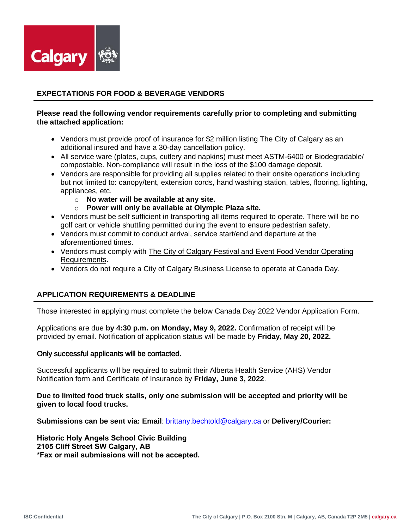

# **EXPECTATIONS FOR FOOD & BEVERAGE VENDORS**

# **Please read the following vendor requirements carefully prior to completing and submitting the attached application:**

- Vendors must provide proof of insurance for \$2 million listing The City of Calgary as an additional insured and have a 30-day cancellation policy.
- All service ware (plates, cups, cutlery and napkins) must meet ASTM-6400 or Biodegradable/ compostable. Non-compliance will result in the loss of the \$100 damage deposit.
- Vendors are responsible for providing all supplies related to their onsite operations including but not limited to: canopy/tent, extension cords, hand washing station, tables, flooring, lighting, appliances, etc.
	- o **No water will be available at any site.**
	- o **Power will only be available at Olympic Plaza site.**
- Vendors must be self sufficient in transporting all items required to operate. There will be no golf cart or vehicle shuttling permitted during the event to ensure pedestrian safety.
- Vendors must commit to conduct arrival, service start/end and departure at the aforementioned times.
- Vendors must comply with [The City of Calgary Festival and Event Food Vendor Operating](https://www.calgary.ca/csps/recreation/festival-planning/food-and-vendor-requirements.html) Requirements.
- Vendors do not require a City of Calgary Business License to operate at Canada Day.

# **APPLICATION REQUIREMENTS & DEADLINE**

Those interested in applying must complete the below Canada Day 2022 Vendor Application Form.

Applications are due **by 4:30 p.m. on Monday, May 9, 2022.** Confirmation of receipt will be provided by email. Notification of a[pplication status will be made by](https://www.calgary.ca/csps/recreation/festival-planning/archive-festival-and-event-planning/festival-and-event-food-vendor-operating-requirement.html) **Friday, May 20, 2022.** 

## Only successful applicants will be contacted.

Successful applicants will be required to submit their Alberta Health Service (AHS) Vendor Notification form and Certificate of Insurance by **Friday, June 3, 2022**.

**Due to limited food truck stalls, only one submission will be accepted and priority will be given to local food trucks.** 

**Submissions can be sent via: Email**[: brittany.bechtold@calgary.ca](mailto:brittany.bechtold@calgary.ca) or **Delivery/Courier:** 

**Historic Holy Angels School Civic Building 2105 Cliff Street SW Calgary, AB \*Fax or mail submissions will not be accepted.**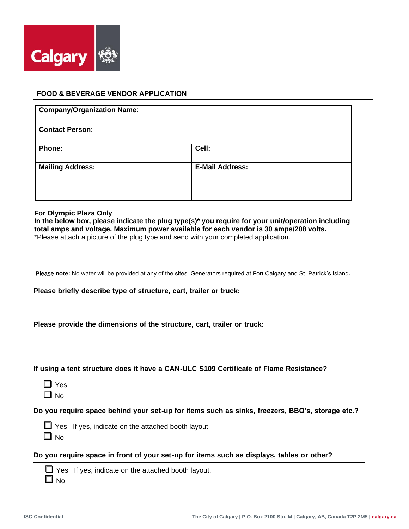

# **FOOD & BEVERAGE VENDOR APPLICATION**

| <b>Company/Organization Name:</b> |                        |
|-----------------------------------|------------------------|
| <b>Contact Person:</b>            |                        |
| Phone:                            | Cell:                  |
| <b>Mailing Address:</b>           | <b>E-Mail Address:</b> |

#### **For Olympic Plaza Only**

**In the below box, please indicate the plug type(s)\* you require for your unit/operation including total amps and voltage. Maximum power available for each vendor is 30 amps/208 volts.**  \*Please attach a picture of the plug type and send with your completed application.

Please **note:** No water will be provided at any of the sites. Generators required at Fort Calgary and St. Patrick's Island**.**

**Please briefly describe type of structure, cart, trailer or truck:** 

|  |  |  | Please provide the dimensions of the structure, cart, trailer or truck: |  |  |  |  |  |  |  |
|--|--|--|-------------------------------------------------------------------------|--|--|--|--|--|--|--|
|--|--|--|-------------------------------------------------------------------------|--|--|--|--|--|--|--|

## **If using a tent structure does it have a CAN-ULC S109 Certificate of Flame Resistance?**

❑ Yes

 $\Box$  No

**Do you require space behind your set-up for items such as sinks, freezers, BBQ's, storage etc.?** 

 $\Box$  Yes If yes, indicate on the attached booth layout.  $\Box$  No

**Do you require space in front of your set-up for items such as displays, tables or other?** 

 $\Box$  Yes If yes, indicate on the attached booth layout.

 $\Box$  No.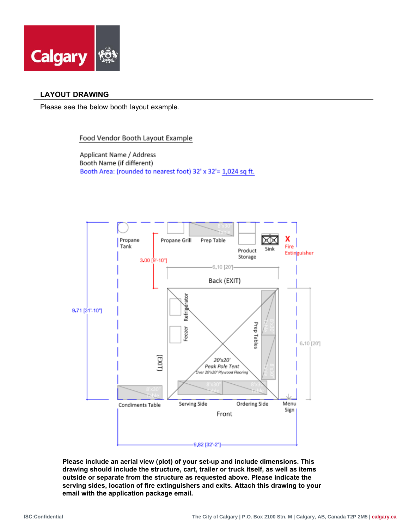

# **LAYOUT DRAWING**

Please see the below booth layout example.

## Food Vendor Booth Layout Example

Applicant Name / Address Booth Name (if different) Booth Area: (rounded to nearest foot) 32' x 32'= 1,024 sq ft.



**Please include an aerial view (plot) of your set-up and include dimensions. This drawing should include the structure, cart, trailer or truck itself, as well as items outside or separate from the structure as requested above. Please indicate the serving sides, location of fire extinguishers and exits. Attach this drawing to your email with the application package email.**